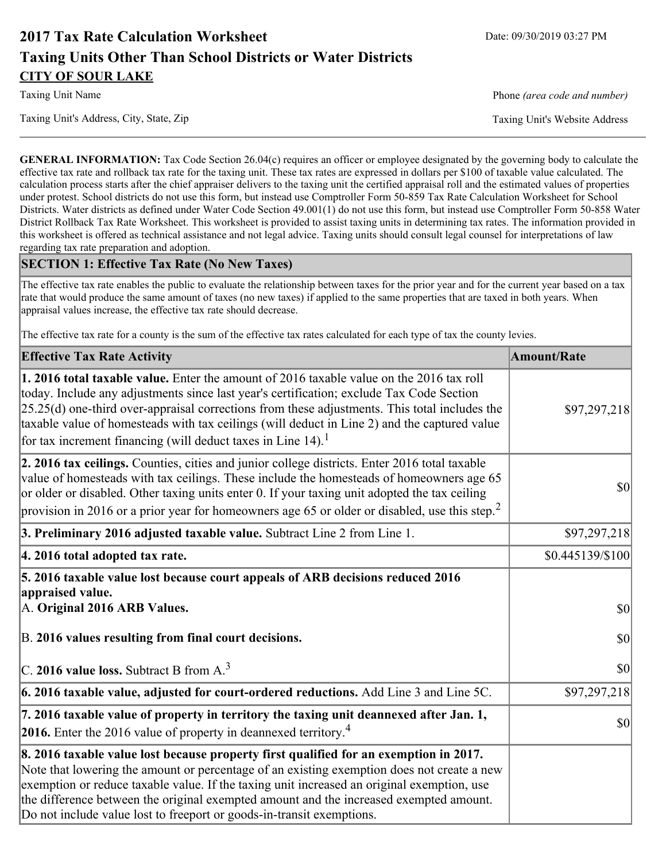# **2017 Tax Rate Calculation Worksheet** Date: 09/30/2019 03:27 PM **Taxing Units Other Than School Districts or Water Districts CITY OF SOUR LAKE**

Taxing Unit Name **Phone** *(area code and number)* Phone *(area code and number)* 

Taxing Unit's Address, City, State, Zip Taxing Unit's Website Address

**GENERAL INFORMATION:** Tax Code Section 26.04(c) requires an officer or employee designated by the governing body to calculate the effective tax rate and rollback tax rate for the taxing unit. These tax rates are expressed in dollars per \$100 of taxable value calculated. The calculation process starts after the chief appraiser delivers to the taxing unit the certified appraisal roll and the estimated values of properties under protest. School districts do not use this form, but instead use Comptroller Form 50-859 Tax Rate Calculation Worksheet for School Districts. Water districts as defined under Water Code Section 49.001(1) do not use this form, but instead use Comptroller Form 50-858 Water District Rollback Tax Rate Worksheet. This worksheet is provided to assist taxing units in determining tax rates. The information provided in this worksheet is offered as technical assistance and not legal advice. Taxing units should consult legal counsel for interpretations of law regarding tax rate preparation and adoption.

## **SECTION 1: Effective Tax Rate (No New Taxes)**

The effective tax rate enables the public to evaluate the relationship between taxes for the prior year and for the current year based on a tax rate that would produce the same amount of taxes (no new taxes) if applied to the same properties that are taxed in both years. When appraisal values increase, the effective tax rate should decrease.

The effective tax rate for a county is the sum of the effective tax rates calculated for each type of tax the county levies.

| <b>Effective Tax Rate Activity</b>                                                                                                                                                                                                                                                                                                                                                                                                                                             | <b>Amount/Rate</b> |
|--------------------------------------------------------------------------------------------------------------------------------------------------------------------------------------------------------------------------------------------------------------------------------------------------------------------------------------------------------------------------------------------------------------------------------------------------------------------------------|--------------------|
| <b>1. 2016 total taxable value.</b> Enter the amount of 2016 taxable value on the 2016 tax roll<br>today. Include any adjustments since last year's certification; exclude Tax Code Section<br>$[25.25(d)$ one-third over-appraisal corrections from these adjustments. This total includes the<br>taxable value of homesteads with tax ceilings (will deduct in Line 2) and the captured value<br>for tax increment financing (will deduct taxes in Line $14$ ). <sup>1</sup> | \$97,297,218       |
| 2. 2016 tax ceilings. Counties, cities and junior college districts. Enter 2016 total taxable<br>value of homesteads with tax ceilings. These include the homesteads of homeowners age 65<br>or older or disabled. Other taxing units enter 0. If your taxing unit adopted the tax ceiling<br>provision in 2016 or a prior year for homeowners age 65 or older or disabled, use this step. <sup>2</sup>                                                                        | 30                 |
| 3. Preliminary 2016 adjusted taxable value. Subtract Line 2 from Line 1.                                                                                                                                                                                                                                                                                                                                                                                                       | \$97,297,218       |
| 4. 2016 total adopted tax rate.                                                                                                                                                                                                                                                                                                                                                                                                                                                | \$0.445139/\$100   |
| 5. 2016 taxable value lost because court appeals of ARB decisions reduced 2016<br>appraised value.<br>A. Original 2016 ARB Values.                                                                                                                                                                                                                                                                                                                                             | $ 10\rangle$       |
| B. 2016 values resulting from final court decisions.                                                                                                                                                                                                                                                                                                                                                                                                                           | 30                 |
| C. 2016 value loss. Subtract B from $A3$                                                                                                                                                                                                                                                                                                                                                                                                                                       | 30                 |
| 6. 2016 taxable value, adjusted for court-ordered reductions. Add Line 3 and Line 5C.                                                                                                                                                                                                                                                                                                                                                                                          | \$97,297,218       |
| 7. 2016 taxable value of property in territory the taxing unit deannexed after Jan. 1,<br><b>2016.</b> Enter the 2016 value of property in deannexed territory. <sup>4</sup>                                                                                                                                                                                                                                                                                                   | $ 10\rangle$       |
| 8. 2016 taxable value lost because property first qualified for an exemption in 2017.<br>Note that lowering the amount or percentage of an existing exemption does not create a new<br>exemption or reduce taxable value. If the taxing unit increased an original exemption, use<br>the difference between the original exempted amount and the increased exempted amount.<br>Do not include value lost to freeport or goods-in-transit exemptions.                           |                    |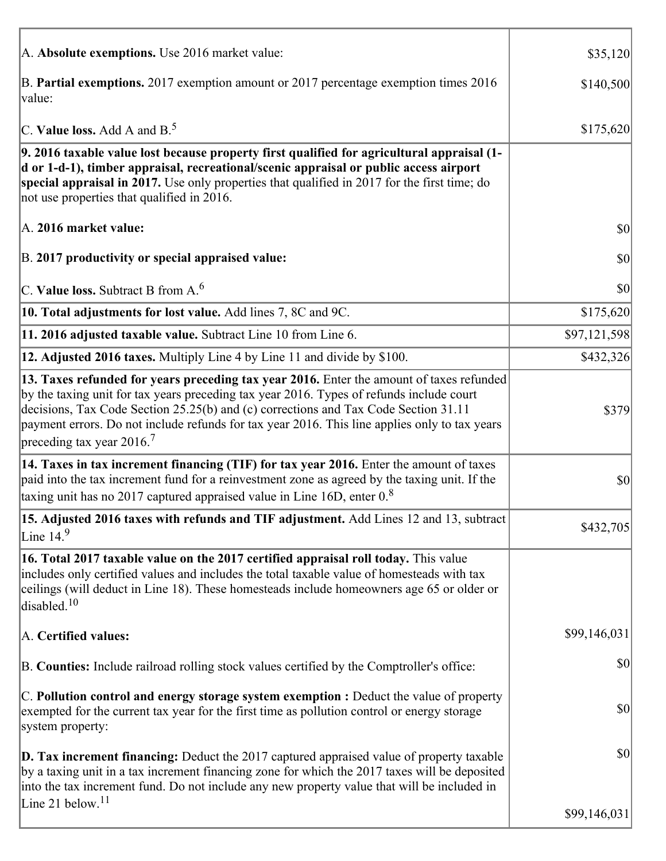| A. Absolute exemptions. Use 2016 market value:                                                                                                                                                                                                                                                                                                                                                                         | \$35,120     |
|------------------------------------------------------------------------------------------------------------------------------------------------------------------------------------------------------------------------------------------------------------------------------------------------------------------------------------------------------------------------------------------------------------------------|--------------|
| B. Partial exemptions. 2017 exemption amount or 2017 percentage exemption times 2016<br>value:                                                                                                                                                                                                                                                                                                                         | \$140,500    |
| C. Value loss. Add A and $B^5$ .                                                                                                                                                                                                                                                                                                                                                                                       | \$175,620    |
| 9. 2016 taxable value lost because property first qualified for agricultural appraisal (1-<br>d or 1-d-1), timber appraisal, recreational/scenic appraisal or public access airport<br>special appraisal in 2017. Use only properties that qualified in 2017 for the first time; do<br>not use properties that qualified in 2016.                                                                                      |              |
| A. 2016 market value:                                                                                                                                                                                                                                                                                                                                                                                                  | 30           |
| B. 2017 productivity or special appraised value:                                                                                                                                                                                                                                                                                                                                                                       | \$0          |
| C. Value loss. Subtract B from $A6$                                                                                                                                                                                                                                                                                                                                                                                    | \$0          |
| 10. Total adjustments for lost value. Add lines 7, 8C and 9C.                                                                                                                                                                                                                                                                                                                                                          | \$175,620    |
| 11. 2016 adjusted taxable value. Subtract Line 10 from Line 6.                                                                                                                                                                                                                                                                                                                                                         | \$97,121,598 |
| 12. Adjusted 2016 taxes. Multiply Line 4 by Line 11 and divide by \$100.                                                                                                                                                                                                                                                                                                                                               | \$432,326    |
| 13. Taxes refunded for years preceding tax year 2016. Enter the amount of taxes refunded<br>by the taxing unit for tax years preceding tax year 2016. Types of refunds include court<br>decisions, Tax Code Section 25.25(b) and (c) corrections and Tax Code Section 31.11<br>payment errors. Do not include refunds for tax year 2016. This line applies only to tax years<br>preceding tax year $2016$ <sup>7</sup> | \$379        |
| 14. Taxes in tax increment financing (TIF) for tax year 2016. Enter the amount of taxes<br>paid into the tax increment fund for a reinvestment zone as agreed by the taxing unit. If the<br>taxing unit has no 2017 captured appraised value in Line 16D, enter $0.8$                                                                                                                                                  | \$0          |
| 15. Adjusted 2016 taxes with refunds and TIF adjustment. Add Lines 12 and 13, subtract<br>Line $14.9$                                                                                                                                                                                                                                                                                                                  | \$432,705    |
| 16. Total 2017 taxable value on the 2017 certified appraisal roll today. This value<br>includes only certified values and includes the total taxable value of homesteads with tax<br>ceilings (will deduct in Line 18). These homesteads include homeowners age 65 or older or<br>disabled. <sup>10</sup>                                                                                                              |              |
| A. Certified values:                                                                                                                                                                                                                                                                                                                                                                                                   | \$99,146,031 |
| B. Counties: Include railroad rolling stock values certified by the Comptroller's office:                                                                                                                                                                                                                                                                                                                              | \$0          |
| $ C$ . Pollution control and energy storage system exemption : Deduct the value of property<br>exempted for the current tax year for the first time as pollution control or energy storage<br>system property:                                                                                                                                                                                                         | \$0          |
| <b>D. Tax increment financing:</b> Deduct the 2017 captured appraised value of property taxable<br>by a taxing unit in a tax increment financing zone for which the 2017 taxes will be deposited<br>into the tax increment fund. Do not include any new property value that will be included in<br>Line 21 below. <sup>11</sup>                                                                                        | \$0          |
|                                                                                                                                                                                                                                                                                                                                                                                                                        | \$99,146,031 |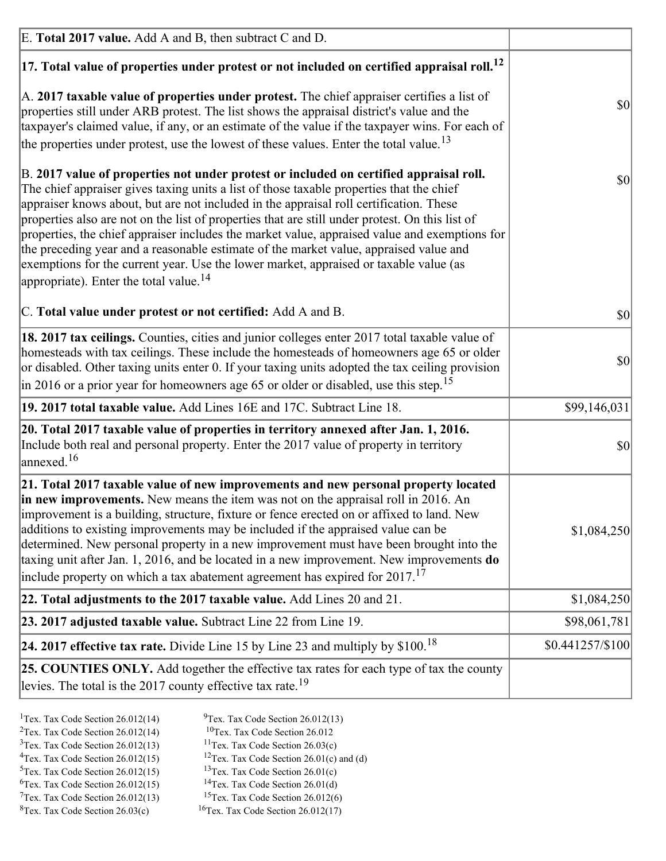| E. Total 2017 value. Add A and B, then subtract C and D.                                                                                                                                                                                                                                                                                                                                                                                                                                                                                                                                                                                                                                                                 |                 |
|--------------------------------------------------------------------------------------------------------------------------------------------------------------------------------------------------------------------------------------------------------------------------------------------------------------------------------------------------------------------------------------------------------------------------------------------------------------------------------------------------------------------------------------------------------------------------------------------------------------------------------------------------------------------------------------------------------------------------|-----------------|
| $ 17$ . Total value of properties under protest or not included on certified appraisal roll. <sup>12</sup>                                                                                                                                                                                                                                                                                                                                                                                                                                                                                                                                                                                                               |                 |
| A. 2017 taxable value of properties under protest. The chief appraiser certifies a list of<br>properties still under ARB protest. The list shows the appraisal district's value and the<br>taxpayer's claimed value, if any, or an estimate of the value if the taxpayer wins. For each of<br>the properties under protest, use the lowest of these values. Enter the total value. <sup>13</sup>                                                                                                                                                                                                                                                                                                                         | \$0             |
| B. 2017 value of properties not under protest or included on certified appraisal roll.<br>The chief appraiser gives taxing units a list of those taxable properties that the chief<br>appraiser knows about, but are not included in the appraisal roll certification. These<br>properties also are not on the list of properties that are still under protest. On this list of<br>properties, the chief appraiser includes the market value, appraised value and exemptions for<br>the preceding year and a reasonable estimate of the market value, appraised value and<br>exemptions for the current year. Use the lower market, appraised or taxable value (as<br>appropriate). Enter the total value. <sup>14</sup> | <b>\$0</b>      |
| C. Total value under protest or not certified: Add A and B.                                                                                                                                                                                                                                                                                                                                                                                                                                                                                                                                                                                                                                                              | $ 10\rangle$    |
| 18. 2017 tax ceilings. Counties, cities and junior colleges enter 2017 total taxable value of<br>homesteads with tax ceilings. These include the homesteads of homeowners age 65 or older<br>or disabled. Other taxing units enter 0. If your taxing units adopted the tax ceiling provision<br>$\vert$ in 2016 or a prior year for homeowners age 65 or older or disabled, use this step. <sup>15</sup>                                                                                                                                                                                                                                                                                                                 | \$0             |
| 19. 2017 total taxable value. Add Lines 16E and 17C. Subtract Line 18.                                                                                                                                                                                                                                                                                                                                                                                                                                                                                                                                                                                                                                                   | \$99,146,031    |
| 20. Total 2017 taxable value of properties in territory annexed after Jan. 1, 2016.<br>Include both real and personal property. Enter the 2017 value of property in territory<br>$\vert$ annexed. <sup>16</sup>                                                                                                                                                                                                                                                                                                                                                                                                                                                                                                          | $ 10\rangle$    |
| 21. Total 2017 taxable value of new improvements and new personal property located<br>in new improvements. New means the item was not on the appraisal roll in 2016. An<br>improvement is a building, structure, fixture or fence erected on or affixed to land. New<br>additions to existing improvements may be included if the appraised value can be<br>determined. New personal property in a new improvement must have been brought into the<br>taxing unit after Jan. 1, 2016, and be located in a new improvement. New improvements <b>do</b><br>include property on which a tax abatement agreement has expired for $2017$ . <sup>17</sup>                                                                      | \$1,084,250     |
| 22. Total adjustments to the 2017 taxable value. Add Lines 20 and 21.                                                                                                                                                                                                                                                                                                                                                                                                                                                                                                                                                                                                                                                    | \$1,084,250     |
| 23. 2017 adjusted taxable value. Subtract Line 22 from Line 19.                                                                                                                                                                                                                                                                                                                                                                                                                                                                                                                                                                                                                                                          | \$98,061,781    |
| 24. 2017 effective tax rate. Divide Line 15 by Line 23 and multiply by $$100$ . <sup>18</sup>                                                                                                                                                                                                                                                                                                                                                                                                                                                                                                                                                                                                                            | \$0.441257/S100 |
| 25. COUNTIES ONLY. Add together the effective tax rates for each type of tax the county<br>levies. The total is the 2017 county effective tax rate. <sup>19</sup>                                                                                                                                                                                                                                                                                                                                                                                                                                                                                                                                                        |                 |

- <sup>2</sup>Tex. Tax Code Section 26.012(14)
- <sup>1</sup>Tex. Tax Code Section 26.012(14) <sup>9</sup>Tex. Tax Code Section 26.012(13) <sup>9</sup>Tex. Tax Code Section 26.012
	-
- <sup>3</sup>Tex. Tax Code Section 26.012(13) <sup>11</sup>Tex. Tax Code Section 26.03(c) <sup>4</sup>Tex. Tax Code Section 26.01(c) and <sup>12</sup>Tex. Tax Code Section 26.01(c) and <sup>12</sup>Tex. Tax Code Section 26.01(c) and <sup>12</sup>Tex. Tax Code Section 26.01(c)
	- <sup>12</sup>Tex. Tax Code Section 26.01(c) and (d)
- 
- <sup>5</sup>Tex. Tax Code Section 26.012(15) <sup>13</sup>Tex. Tax Code Section 26.01(c) <sup>6</sup>Tex. Tax Code Section 26.01(d)
- <sup>6</sup>Tex. Tax Code Section 26.012(15) <sup>14</sup>Tex. Tax Code Section 26.01(d)<sup>7</sup>Tex. Tax Code Section 26.012(6)  $7$ Tex. Tax Code Section 26.012(13)
- 
- 
- ${}^{8}$ Tex. Tax Code Section 26.03(c)  ${}^{16}$ Tex. Tax Code Section 26.012(17)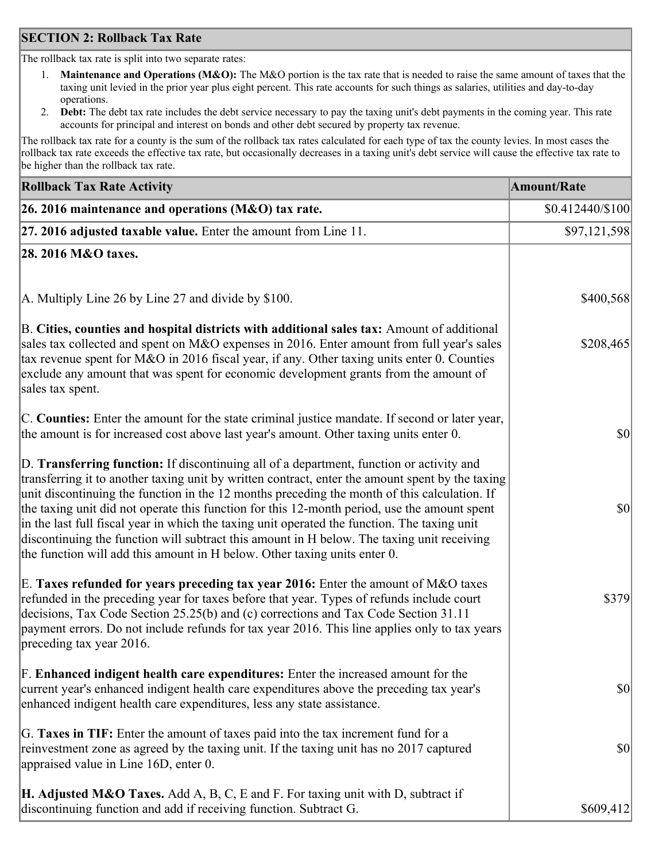## **SECTION 2: Rollback Tax Rate**

The rollback tax rate is split into two separate rates:

- 1. **Maintenance and Operations (M&O):** The M&O portion is the tax rate that is needed to raise the same amount of taxes that the taxing unit levied in the prior year plus eight percent. This rate accounts for such things as salaries, utilities and day-to-day operations.
- 2. **Debt:** The debt tax rate includes the debt service necessary to pay the taxing unit's debt payments in the coming year. This rate accounts for principal and interest on bonds and other debt secured by property tax revenue.

The rollback tax rate for a county is the sum of the rollback tax rates calculated for each type of tax the county levies. In most cases the rollback tax rate exceeds the effective tax rate, but occasionally decreases in a taxing unit's debt service will cause the effective tax rate to be higher than the rollback tax rate.

| <b>Rollback Tax Rate Activity</b>                                                                                                                                                                                                                                                                                                                                                                                                                                                                                                                                                                                                                                       | <b>Amount/Rate</b>     |
|-------------------------------------------------------------------------------------------------------------------------------------------------------------------------------------------------------------------------------------------------------------------------------------------------------------------------------------------------------------------------------------------------------------------------------------------------------------------------------------------------------------------------------------------------------------------------------------------------------------------------------------------------------------------------|------------------------|
| 26. 2016 maintenance and operations (M&O) tax rate.                                                                                                                                                                                                                                                                                                                                                                                                                                                                                                                                                                                                                     | $$0.412440 \times 100$ |
| $ 27.2016$ adjusted taxable value. Enter the amount from Line 11.                                                                                                                                                                                                                                                                                                                                                                                                                                                                                                                                                                                                       | \$97,121,598           |
| 28. 2016 M&O taxes.                                                                                                                                                                                                                                                                                                                                                                                                                                                                                                                                                                                                                                                     |                        |
|                                                                                                                                                                                                                                                                                                                                                                                                                                                                                                                                                                                                                                                                         |                        |
| A. Multiply Line 26 by Line 27 and divide by \$100.                                                                                                                                                                                                                                                                                                                                                                                                                                                                                                                                                                                                                     | \$400,568              |
| B. Cities, counties and hospital districts with additional sales tax: Amount of additional<br>sales tax collected and spent on M&O expenses in 2016. Enter amount from full year's sales<br>tax revenue spent for M&O in 2016 fiscal year, if any. Other taxing units enter 0. Counties<br>exclude any amount that was spent for economic development grants from the amount of<br>sales tax spent.                                                                                                                                                                                                                                                                     | \$208,465              |
| C. Counties: Enter the amount for the state criminal justice mandate. If second or later year,<br>the amount is for increased cost above last year's amount. Other taxing units enter 0.                                                                                                                                                                                                                                                                                                                                                                                                                                                                                | \$0                    |
| D. Transferring function: If discontinuing all of a department, function or activity and<br>transferring it to another taxing unit by written contract, enter the amount spent by the taxing<br>unit discontinuing the function in the 12 months preceding the month of this calculation. If<br>the taxing unit did not operate this function for this 12-month period, use the amount spent<br>in the last full fiscal year in which the taxing unit operated the function. The taxing unit<br>discontinuing the function will subtract this amount in H below. The taxing unit receiving<br>the function will add this amount in H below. Other taxing units enter 0. | \$0                    |
| E. Taxes refunded for years preceding tax year 2016: Enter the amount of M&O taxes<br>refunded in the preceding year for taxes before that year. Types of refunds include court<br>decisions, Tax Code Section 25.25(b) and (c) corrections and Tax Code Section 31.11<br>payment errors. Do not include refunds for tax year 2016. This line applies only to tax years<br>preceding tax year 2016.                                                                                                                                                                                                                                                                     | \$379                  |
| F. Enhanced indigent health care expenditures: Enter the increased amount for the<br>current year's enhanced indigent health care expenditures above the preceding tax year's<br>enhanced indigent health care expenditures, less any state assistance.                                                                                                                                                                                                                                                                                                                                                                                                                 | $ 10\rangle$           |
| G. Taxes in TIF: Enter the amount of taxes paid into the tax increment fund for a<br>reinvestment zone as agreed by the taxing unit. If the taxing unit has no 2017 captured<br>appraised value in Line 16D, enter 0.                                                                                                                                                                                                                                                                                                                                                                                                                                                   | $ 10\rangle$           |
| <b>H. Adjusted M&amp;O Taxes.</b> Add A, B, C, E and F. For taxing unit with D, subtract if<br>discontinuing function and add if receiving function. Subtract G.                                                                                                                                                                                                                                                                                                                                                                                                                                                                                                        | \$609,412              |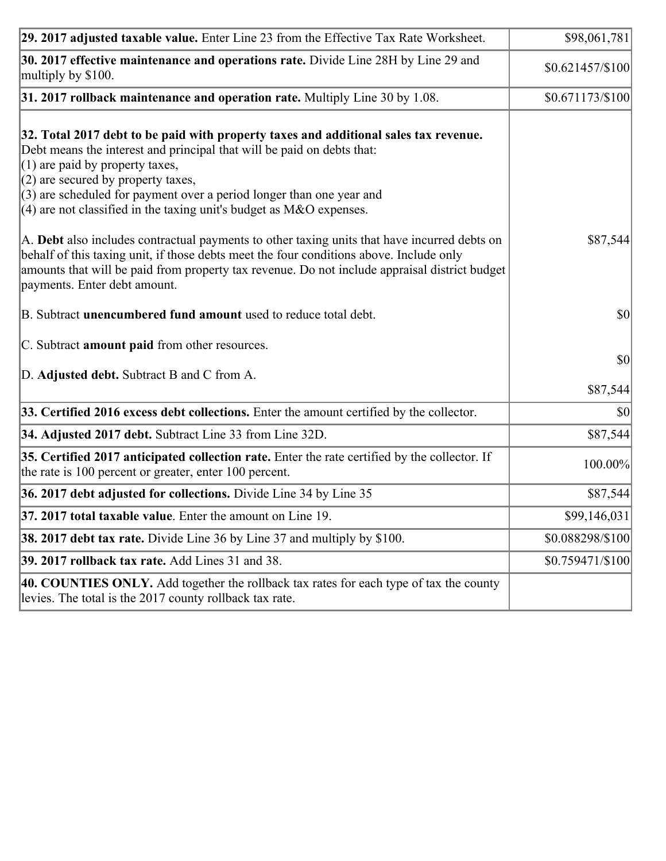| 29. 2017 adjusted taxable value. Enter Line 23 from the Effective Tax Rate Worksheet.                                                                                                                                                                                                                                                                                                          | \$98,061,781           |
|------------------------------------------------------------------------------------------------------------------------------------------------------------------------------------------------------------------------------------------------------------------------------------------------------------------------------------------------------------------------------------------------|------------------------|
| 30. 2017 effective maintenance and operations rate. Divide Line 28H by Line 29 and<br>multiply by \$100.                                                                                                                                                                                                                                                                                       | $$0.621457/\$100$      |
| 31. 2017 rollback maintenance and operation rate. Multiply Line 30 by 1.08.                                                                                                                                                                                                                                                                                                                    | \$0.671173/\$100]      |
| 32. Total 2017 debt to be paid with property taxes and additional sales tax revenue.<br>Debt means the interest and principal that will be paid on debts that:<br>$(1)$ are paid by property taxes,<br>$(2)$ are secured by property taxes,<br>$(3)$ are scheduled for payment over a period longer than one year and<br>$(4)$ are not classified in the taxing unit's budget as M&O expenses. |                        |
| A. Debt also includes contractual payments to other taxing units that have incurred debts on<br>behalf of this taxing unit, if those debts meet the four conditions above. Include only<br>amounts that will be paid from property tax revenue. Do not include appraisal district budget<br>payments. Enter debt amount.                                                                       | \$87,544               |
| B. Subtract unencumbered fund amount used to reduce total debt.                                                                                                                                                                                                                                                                                                                                | \$0                    |
| C. Subtract <b>amount paid</b> from other resources.                                                                                                                                                                                                                                                                                                                                           |                        |
| D. Adjusted debt. Subtract B and C from A.                                                                                                                                                                                                                                                                                                                                                     | <b>\$0</b><br>\$87,544 |
| 33. Certified 2016 excess debt collections. Enter the amount certified by the collector.                                                                                                                                                                                                                                                                                                       | $ 10\rangle$           |
| 34. Adjusted 2017 debt. Subtract Line 33 from Line 32D.                                                                                                                                                                                                                                                                                                                                        | \$87,544               |
| 35. Certified 2017 anticipated collection rate. Enter the rate certified by the collector. If<br>the rate is 100 percent or greater, enter 100 percent.                                                                                                                                                                                                                                        | 100.00%                |
| 36. 2017 debt adjusted for collections. Divide Line 34 by Line 35                                                                                                                                                                                                                                                                                                                              | \$87,544               |
| $37.2017$ total taxable value. Enter the amount on Line 19.                                                                                                                                                                                                                                                                                                                                    | \$99,146,031           |
| <b>38. 2017 debt tax rate.</b> Divide Line 36 by Line 37 and multiply by \$100.                                                                                                                                                                                                                                                                                                                | \$0.088298/\$100       |
| <b>39. 2017 rollback tax rate.</b> Add Lines 31 and 38.                                                                                                                                                                                                                                                                                                                                        | $$0.759471 \times 100$ |
| 40. COUNTIES ONLY. Add together the rollback tax rates for each type of tax the county<br>levies. The total is the 2017 county rollback tax rate.                                                                                                                                                                                                                                              |                        |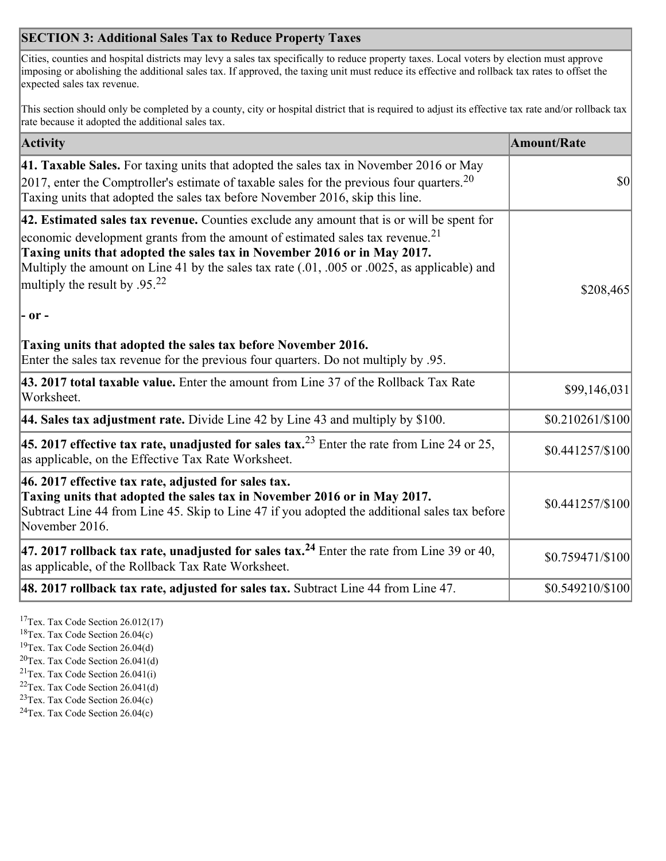## **SECTION 3: Additional Sales Tax to Reduce Property Taxes**

Cities, counties and hospital districts may levy a sales tax specifically to reduce property taxes. Local voters by election must approve imposing or abolishing the additional sales tax. If approved, the taxing unit must reduce its effective and rollback tax rates to offset the expected sales tax revenue.

This section should only be completed by a county, city or hospital district that is required to adjust its effective tax rate and/or rollback tax rate because it adopted the additional sales tax.

| <b>Activity</b>                                                                                                                                                                                                                                                                                                                                                                                      | <b>Amount/Rate</b> |
|------------------------------------------------------------------------------------------------------------------------------------------------------------------------------------------------------------------------------------------------------------------------------------------------------------------------------------------------------------------------------------------------------|--------------------|
| 41. Taxable Sales. For taxing units that adopted the sales tax in November 2016 or May<br>[2017, enter the Comptroller's estimate of taxable sales for the previous four quarters. <sup>20</sup><br>Taxing units that adopted the sales tax before November 2016, skip this line.                                                                                                                    | $\vert$ so $\vert$ |
| 42. Estimated sales tax revenue. Counties exclude any amount that is or will be spent for<br>economic development grants from the amount of estimated sales tax revenue. <sup>21</sup><br>Taxing units that adopted the sales tax in November 2016 or in May 2017.<br>Multiply the amount on Line 41 by the sales tax rate (.01, .005 or .0025, as applicable) and<br>multiply the result by $.9522$ | \$208,465          |
| $ -$ or $-$                                                                                                                                                                                                                                                                                                                                                                                          |                    |
| Taxing units that adopted the sales tax before November 2016.<br>Enter the sales tax revenue for the previous four quarters. Do not multiply by .95.                                                                                                                                                                                                                                                 |                    |
| 43. 2017 total taxable value. Enter the amount from Line 37 of the Rollback Tax Rate<br>Worksheet.                                                                                                                                                                                                                                                                                                   | \$99,146,031       |
| 44. Sales tax adjustment rate. Divide Line 42 by Line 43 and multiply by $$100$ .                                                                                                                                                                                                                                                                                                                    | \$0.210261/\$100   |
| 45. 2017 effective tax rate, unadjusted for sales tax. <sup>23</sup> Enter the rate from Line 24 or 25,<br>as applicable, on the Effective Tax Rate Worksheet.                                                                                                                                                                                                                                       | \$0.441257/\$100   |
| 46. 2017 effective tax rate, adjusted for sales tax.<br>Taxing units that adopted the sales tax in November 2016 or in May 2017.<br>Subtract Line 44 from Line 45. Skip to Line 47 if you adopted the additional sales tax before<br>November 2016.                                                                                                                                                  | \$0.441257/\$100   |
| 47. 2017 rollback tax rate, unadjusted for sales tax. <sup>24</sup> Enter the rate from Line 39 or 40,<br>as applicable, of the Rollback Tax Rate Worksheet.                                                                                                                                                                                                                                         | \$0.759471/\$100   |
| $ 48.2017$ rollback tax rate, adjusted for sales tax. Subtract Line 44 from Line 47.                                                                                                                                                                                                                                                                                                                 | \$0.549210/\$100   |

<sup>17</sup>Tex. Tax Code Section 26.012(17)

<sup>18</sup>Tex. Tax Code Section 26.04(c)

<sup>19</sup>Tex. Tax Code Section 26.04(d)

<sup>20</sup>Tex. Tax Code Section 26.041(d)

- $21$ Tex. Tax Code Section 26.041(i)
- <sup>22</sup>Tex. Tax Code Section 26.041(d)
- <sup>23</sup>Tex. Tax Code Section  $26.04(c)$

<sup>24</sup>Tex. Tax Code Section  $26.04(c)$